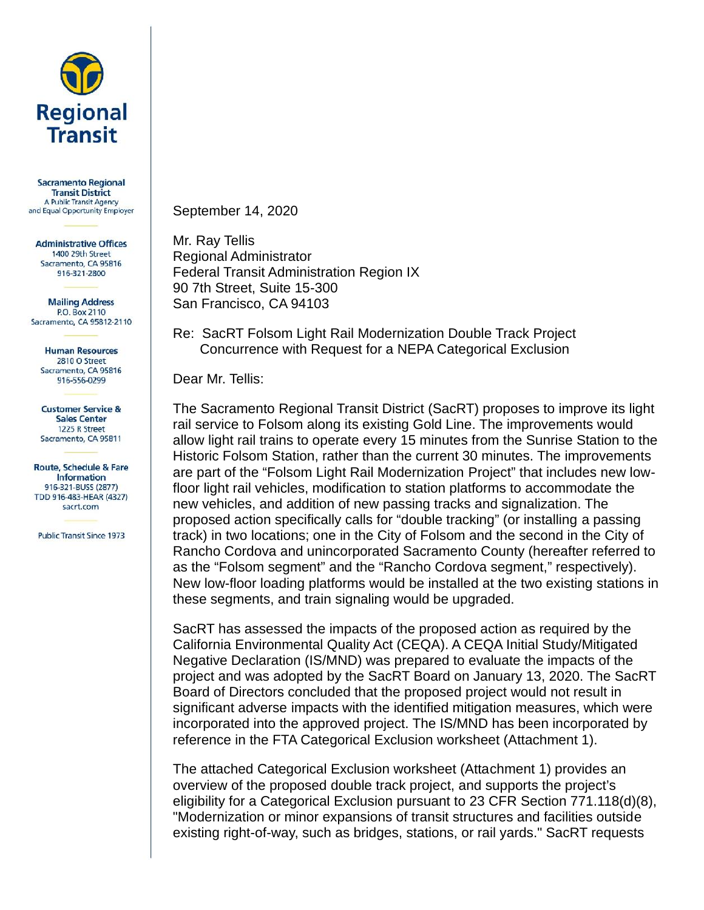

**Sacramento Regional Transit District** A Public Transit Agency and Equal Opportunity Employer

**Administrative Offices** 1400 29th Street Sacramento, CA 95816 916-321-2800

**Mailing Address** P.O. Box 2110 Sacramento, CA 95812-2110

**Human Resources** 2810 O Street Sacramento, CA 95816 916-556-0299

**Customer Service & Sales Center** 1225 R Street Sacramento, CA 95811

Route, Schedule & Fare **Information** 916-321-BUSS (2877) TDD 916-483-HEAR (4327) sacrt.com

**Public Transit Since 1973** 

September 14, 2020

Mr. Ray Tellis Regional Administrator Federal Transit Administration Region IX 90 7th Street, Suite 15-300 San Francisco, CA 94103

Re: SacRT Folsom Light Rail Modernization Double Track Project Concurrence with Request for a NEPA Categorical Exclusion

Dear Mr. Tellis:

The Sacramento Regional Transit District (SacRT) proposes to improve its light rail service to Folsom along its existing Gold Line. The improvements would allow light rail trains to operate every 15 minutes from the Sunrise Station to the Historic Folsom Station, rather than the current 30 minutes. The improvements are part of the "Folsom Light Rail Modernization Project" that includes new lowfloor light rail vehicles, modification to station platforms to accommodate the new vehicles, and addition of new passing tracks and signalization. The proposed action specifically calls for "double tracking" (or installing a passing track) in two locations; one in the City of Folsom and the second in the City of Rancho Cordova and unincorporated Sacramento County (hereafter referred to as the "Folsom segment" and the "Rancho Cordova segment," respectively). New low-floor loading platforms would be installed at the two existing stations in these segments, and train signaling would be upgraded.

SacRT has assessed the impacts of the proposed action as required by the California Environmental Quality Act (CEQA). A CEQA Initial Study/Mitigated Negative Declaration (IS/MND) was prepared to evaluate the impacts of the project and was adopted by the SacRT Board on January 13, 2020. The SacRT Board of Directors concluded that the proposed project would not result in significant adverse impacts with the identified mitigation measures, which were incorporated into the approved project. The IS/MND has been incorporated by reference in the FTA Categorical Exclusion worksheet (Attachment 1).

The attached Categorical Exclusion worksheet (Attachment 1) provides an overview of the proposed double track project, and supports the project's eligibility for a Categorical Exclusion pursuant to 23 CFR Section 771.118(d)(8), "Modernization or minor expansions of transit structures and facilities outside existing right-of-way, such as bridges, stations, or rail yards." SacRT requests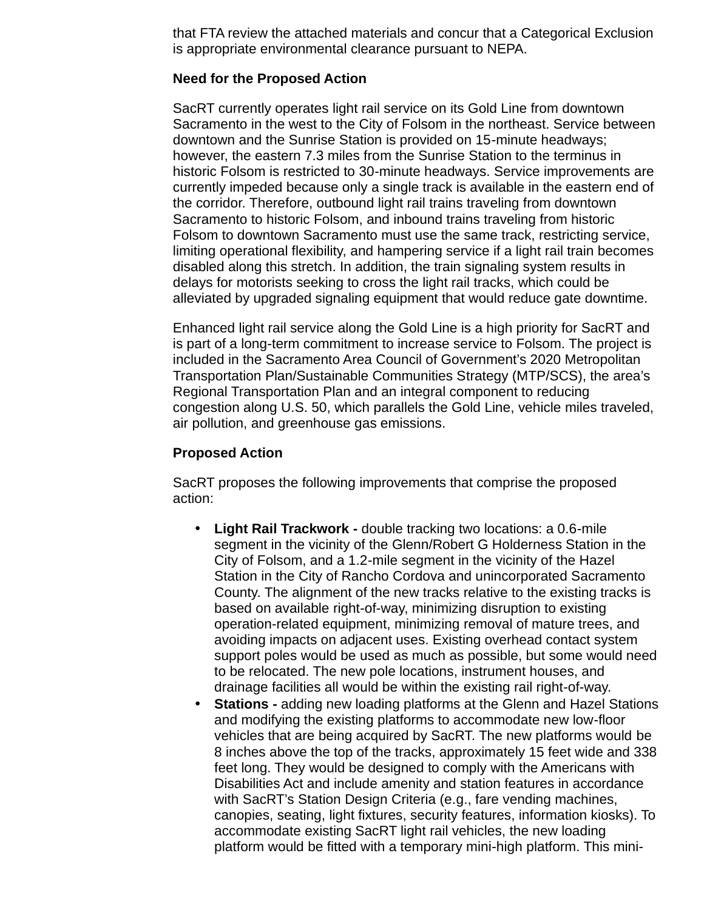that FTA review the attached materials and concur that a Categorical Exclusion is appropriate environmental clearance pursuant to NEPA.

## **Need for the Proposed Action**

SacRT currently operates light rail service on its Gold Line from downtown Sacramento in the west to the City of Folsom in the northeast. Service between downtown and the Sunrise Station is provided on 15-minute headways; however, the eastern 7.3 miles from the Sunrise Station to the terminus in historic Folsom is restricted to 30-minute headways. Service improvements are currently impeded because only a single track is available in the eastern end of the corridor. Therefore, outbound light rail trains traveling from downtown Sacramento to historic Folsom, and inbound trains traveling from historic Folsom to downtown Sacramento must use the same track, restricting service, limiting operational flexibility, and hampering service if a light rail train becomes disabled along this stretch. In addition, the train signaling system results in delays for motorists seeking to cross the light rail tracks, which could be alleviated by upgraded signaling equipment that would reduce gate downtime.

Enhanced light rail service along the Gold Line is a high priority for SacRT and is part of a long-term commitment to increase service to Folsom. The project is included in the Sacramento Area Council of Government's 2020 Metropolitan Transportation Plan/Sustainable Communities Strategy (MTP/SCS), the area's Regional Transportation Plan and an integral component to reducing congestion along U.S. 50, which parallels the Gold Line, vehicle miles traveled, air pollution, and greenhouse gas emissions.

## **Proposed Action**

SacRT proposes the following improvements that comprise the proposed action:

- **Light Rail Trackwork -** double tracking two locations: a 0.6-mile segment in the vicinity of the Glenn/Robert G Holderness Station in the City of Folsom, and a 1.2-mile segment in the vicinity of the Hazel Station in the City of Rancho Cordova and unincorporated Sacramento County. The alignment of the new tracks relative to the existing tracks is based on available right-of-way, minimizing disruption to existing operation-related equipment, minimizing removal of mature trees, and avoiding impacts on adjacent uses. Existing overhead contact system support poles would be used as much as possible, but some would need to be relocated. The new pole locations, instrument houses, and drainage facilities all would be within the existing rail right-of-way.
- **Stations -** adding new loading platforms at the Glenn and Hazel Stations and modifying the existing platforms to accommodate new low-floor vehicles that are being acquired by SacRT. The new platforms would be 8 inches above the top of the tracks, approximately 15 feet wide and 338 feet long. They would be designed to comply with the Americans with Disabilities Act and include amenity and station features in accordance with SacRT's Station Design Criteria (e.g., fare vending machines, canopies, seating, light fixtures, security features, information kiosks). To accommodate existing SacRT light rail vehicles, the new loading platform would be fitted with a temporary mini-high platform. This mini-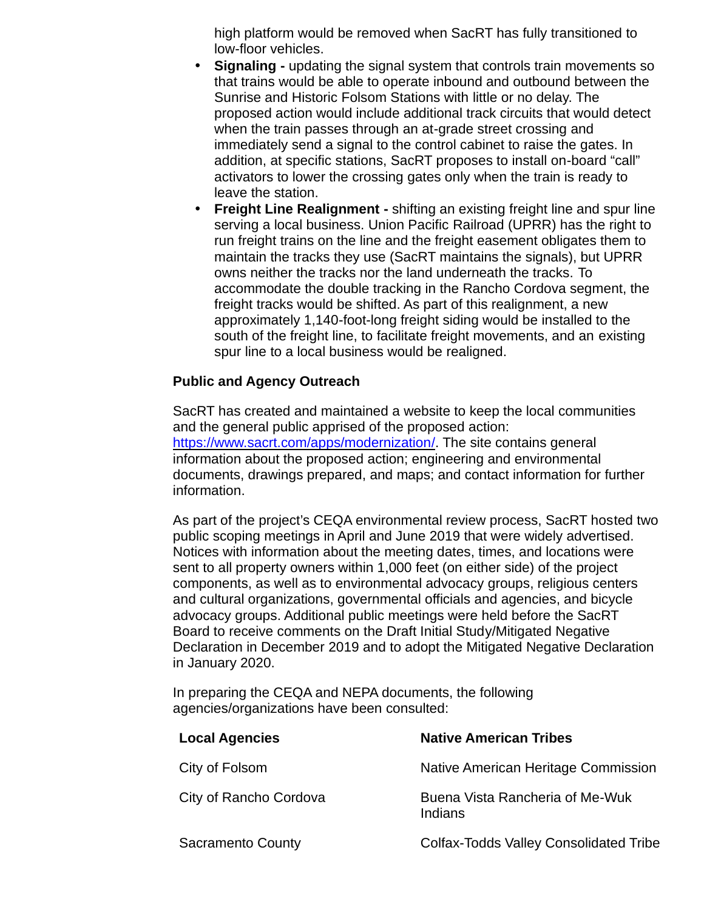high platform would be removed when SacRT has fully transitioned to low-floor vehicles.

- **Signaling -** updating the signal system that controls train movements so that trains would be able to operate inbound and outbound between the Sunrise and Historic Folsom Stations with little or no delay. The proposed action would include additional track circuits that would detect when the train passes through an at-grade street crossing and immediately send a signal to the control cabinet to raise the gates. In addition, at specific stations, SacRT proposes to install on-board "call" activators to lower the crossing gates only when the train is ready to leave the station.
- **Freight Line Realignment -** shifting an existing freight line and spur line serving a local business. Union Pacific Railroad (UPRR) has the right to run freight trains on the line and the freight easement obligates them to maintain the tracks they use (SacRT maintains the signals), but UPRR owns neither the tracks nor the land underneath the tracks. To accommodate the double tracking in the Rancho Cordova segment, the freight tracks would be shifted. As part of this realignment, a new approximately 1,140-foot-long freight siding would be installed to the south of the freight line, to facilitate freight movements, and an existing spur line to a local business would be realigned.

# **Public and Agency Outreach**

SacRT has created and maintained a website to keep the local communities and the general public apprised of the proposed action: https://www.sacrt.com/apps/modernization/. The site contains general information about the proposed action; engineering and environmental documents, drawings prepared, and maps; and contact information for further information.

As part of the project's CEQA environmental review process, SacRT hosted two public scoping meetings in April and June 2019 that were widely advertised. Notices with information about the meeting dates, times, and locations were sent to all property owners within 1,000 feet (on either side) of the project components, as well as to environmental advocacy groups, religious centers and cultural organizations, governmental officials and agencies, and bicycle advocacy groups. Additional public meetings were held before the SacRT Board to receive comments on the Draft Initial Study/Mitigated Negative Declaration in December 2019 and to adopt the Mitigated Negative Declaration in January 2020.

In preparing the CEQA and NEPA documents, the following agencies/organizations have been consulted:

| <b>Local Agencies</b>  | <b>Native American Tribes</b>                 |
|------------------------|-----------------------------------------------|
| City of Folsom         | Native American Heritage Commission           |
| City of Rancho Cordova | Buena Vista Rancheria of Me-Wuk<br>Indians    |
| Sacramento County      | <b>Colfax-Todds Valley Consolidated Tribe</b> |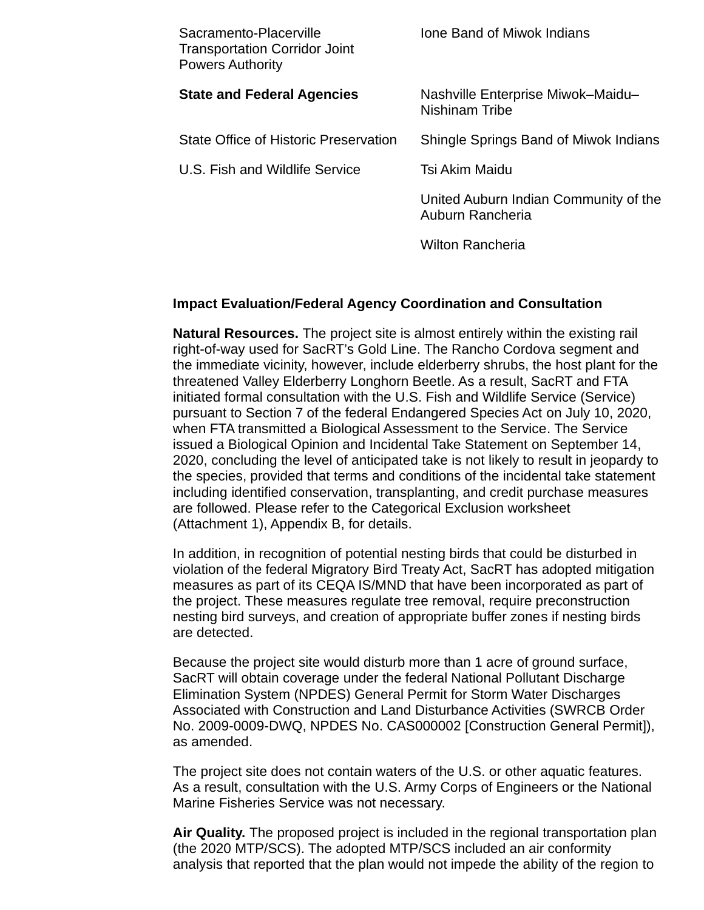| Sacramento-Placerville<br><b>Transportation Corridor Joint</b><br><b>Powers Authority</b> | Ione Band of Miwok Indians                                 |
|-------------------------------------------------------------------------------------------|------------------------------------------------------------|
| <b>State and Federal Agencies</b>                                                         | Nashville Enterprise Miwok-Maidu-<br><b>Nishinam Tribe</b> |
| State Office of Historic Preservation                                                     | Shingle Springs Band of Miwok Indians                      |
| <b>U.S. Fish and Wildlife Service</b>                                                     | Tsi Akim Maidu                                             |
|                                                                                           | United Auburn Indian Community of the<br>Auburn Rancheria  |
|                                                                                           | <b>Wilton Rancheria</b>                                    |

## **Impact Evaluation/Federal Agency Coordination and Consultation**

**Natural Resources.** The project site is almost entirely within the existing rail right-of-way used for SacRT's Gold Line. The Rancho Cordova segment and the immediate vicinity, however, include elderberry shrubs, the host plant for the threatened Valley Elderberry Longhorn Beetle. As a result, SacRT and FTA initiated formal consultation with the U.S. Fish and Wildlife Service (Service) pursuant to Section 7 of the federal Endangered Species Act on July 10, 2020, when FTA transmitted a Biological Assessment to the Service. The Service issued a Biological Opinion and Incidental Take Statement on September 14, 2020, concluding the level of anticipated take is not likely to result in jeopardy to the species, provided that terms and conditions of the incidental take statement including identified conservation, transplanting, and credit purchase measures are followed. Please refer to the Categorical Exclusion worksheet (Attachment 1), Appendix B, for details.

In addition, in recognition of potential nesting birds that could be disturbed in violation of the federal Migratory Bird Treaty Act, SacRT has adopted mitigation measures as part of its CEQA IS/MND that have been incorporated as part of the project. These measures regulate tree removal, require preconstruction nesting bird surveys, and creation of appropriate buffer zones if nesting birds are detected.

Because the project site would disturb more than 1 acre of ground surface, SacRT will obtain coverage under the federal National Pollutant Discharge Elimination System (NPDES) General Permit for Storm Water Discharges Associated with Construction and Land Disturbance Activities (SWRCB Order No. 2009-0009-DWQ, NPDES No. CAS000002 [Construction General Permit]), as amended.

The project site does not contain waters of the U.S. or other aquatic features. As a result, consultation with the U.S. Army Corps of Engineers or the National Marine Fisheries Service was not necessary.

**Air Quality.** The proposed project is included in the regional transportation plan (the 2020 MTP/SCS). The adopted MTP/SCS included an air conformity analysis that reported that the plan would not impede the ability of the region to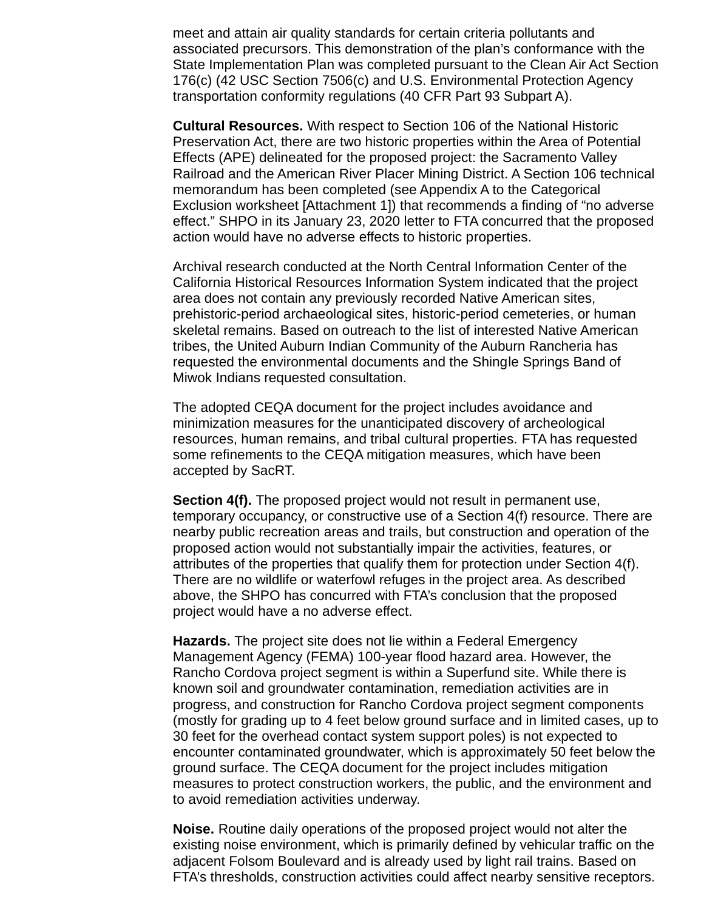meet and attain air quality standards for certain criteria pollutants and associated precursors. This demonstration of the plan's conformance with the State Implementation Plan was completed pursuant to the Clean Air Act Section 176(c) (42 USC Section 7506(c) and U.S. Environmental Protection Agency transportation conformity regulations (40 CFR Part 93 Subpart A).

**Cultural Resources.** With respect to Section 106 of the National Historic Preservation Act, there are two historic properties within the Area of Potential Effects (APE) delineated for the proposed project: the Sacramento Valley Railroad and the American River Placer Mining District. A Section 106 technical memorandum has been completed (see Appendix A to the Categorical Exclusion worksheet [Attachment 1]) that recommends a finding of "no adverse effect." SHPO in its January 23, 2020 letter to FTA concurred that the proposed action would have no adverse effects to historic properties.

Archival research conducted at the North Central Information Center of the California Historical Resources Information System indicated that the project area does not contain any previously recorded Native American sites, prehistoric-period archaeological sites, historic-period cemeteries, or human skeletal remains. Based on outreach to the list of interested Native American tribes, the United Auburn Indian Community of the Auburn Rancheria has requested the environmental documents and the Shingle Springs Band of Miwok Indians requested consultation.

The adopted CEQA document for the project includes avoidance and minimization measures for the unanticipated discovery of archeological resources, human remains, and tribal cultural properties. FTA has requested some refinements to the CEQA mitigation measures, which have been accepted by SacRT.

**Section 4(f).** The proposed project would not result in permanent use, temporary occupancy, or constructive use of a Section 4(f) resource. There are nearby public recreation areas and trails, but construction and operation of the proposed action would not substantially impair the activities, features, or attributes of the properties that qualify them for protection under Section 4(f). There are no wildlife or waterfowl refuges in the project area. As described above, the SHPO has concurred with FTA's conclusion that the proposed project would have a no adverse effect.

**Hazards.** The project site does not lie within a Federal Emergency Management Agency (FEMA) 100-year flood hazard area. However, the Rancho Cordova project segment is within a Superfund site. While there is known soil and groundwater contamination, remediation activities are in progress, and construction for Rancho Cordova project segment components (mostly for grading up to 4 feet below ground surface and in limited cases, up to 30 feet for the overhead contact system support poles) is not expected to encounter contaminated groundwater, which is approximately 50 feet below the ground surface. The CEQA document for the project includes mitigation measures to protect construction workers, the public, and the environment and to avoid remediation activities underway.

**Noise.** Routine daily operations of the proposed project would not alter the existing noise environment, which is primarily defined by vehicular traffic on the adjacent Folsom Boulevard and is already used by light rail trains. Based on FTA's thresholds, construction activities could affect nearby sensitive receptors.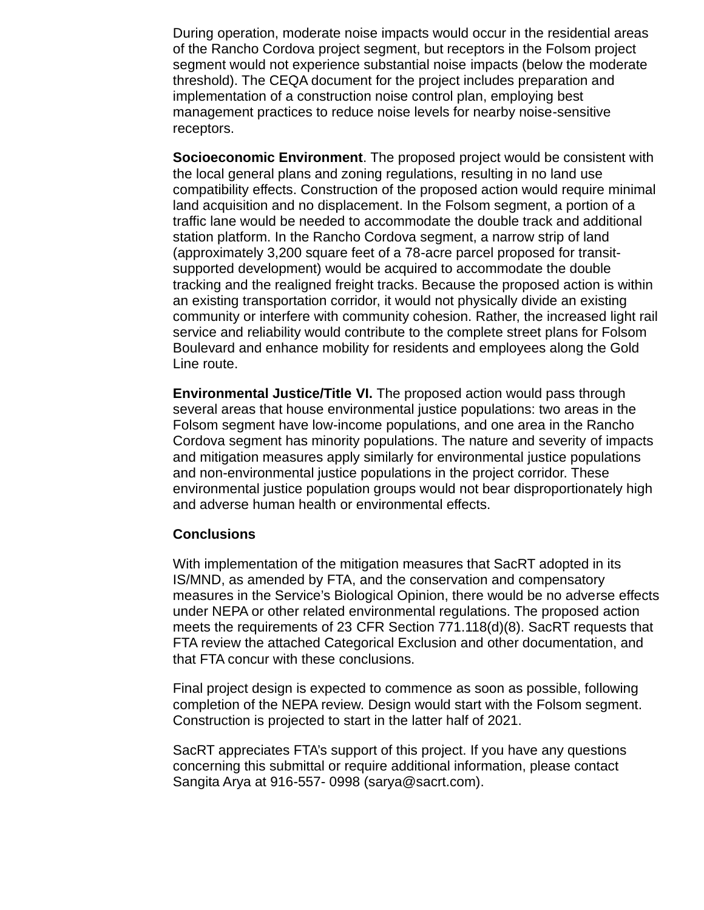During operation, moderate noise impacts would occur in the residential areas of the Rancho Cordova project segment, but receptors in the Folsom project segment would not experience substantial noise impacts (below the moderate threshold). The CEQA document for the project includes preparation and implementation of a construction noise control plan, employing best management practices to reduce noise levels for nearby noise-sensitive receptors.

**Socioeconomic Environment**. The proposed project would be consistent with the local general plans and zoning regulations, resulting in no land use compatibility effects. Construction of the proposed action would require minimal land acquisition and no displacement. In the Folsom segment, a portion of a traffic lane would be needed to accommodate the double track and additional station platform. In the Rancho Cordova segment, a narrow strip of land (approximately 3,200 square feet of a 78-acre parcel proposed for transit supported development) would be acquired to accommodate the double tracking and the realigned freight tracks. Because the proposed action is within an existing transportation corridor, it would not physically divide an existing community or interfere with community cohesion. Rather, the increased light rail service and reliability would contribute to the complete street plans for Folsom Boulevard and enhance mobility for residents and employees along the Gold Line route.

**Environmental Justice/Title VI.** The proposed action would pass through several areas that house environmental justice populations: two areas in the Folsom segment have low-income populations, and one area in the Rancho Cordova segment has minority populations. The nature and severity of impacts and mitigation measures apply similarly for environmental justice populations and non-environmental justice populations in the project corridor. These environmental justice population groups would not bear disproportionately high and adverse human health or environmental effects.

#### **Conclusions**

With implementation of the mitigation measures that SacRT adopted in its IS/MND, as amended by FTA, and the conservation and compensatory measures in the Service's Biological Opinion, there would be no adverse effects under NEPA or other related environmental regulations. The proposed action meets the requirements of 23 CFR Section 771.118(d)(8). SacRT requests that FTA review the attached Categorical Exclusion and other documentation, and that FTA concur with these conclusions.

Final project design is expected to commence as soon as possible, following completion of the NEPA review. Design would start with the Folsom segment. Construction is projected to start in the latter half of 2021.

SacRT appreciates FTA's support of this project. If you have any questions concerning this submittal or require additional information, please contact Sangita Arya at 916-557- 0998 (sarya@sacrt.com).